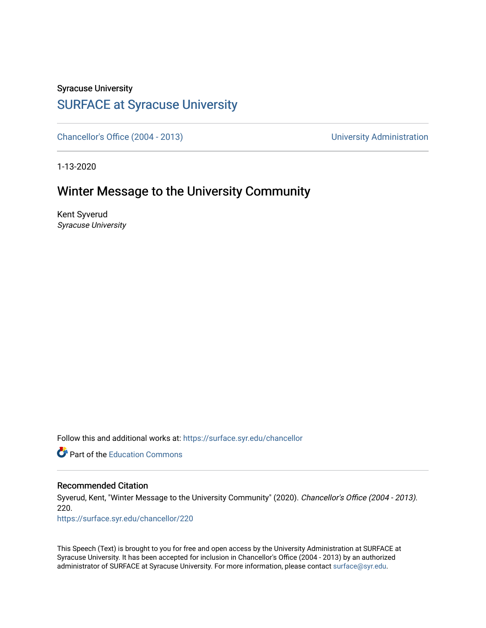## Syracuse University

### [SURFACE at Syracuse University](https://surface.syr.edu/)

[Chancellor's Office \(2004 - 2013\)](https://surface.syr.edu/chancellor) Chancellor's Office (2004 - 2013)

1-13-2020

### Winter Message to the University Community

Kent Syverud Syracuse University

Follow this and additional works at: [https://surface.syr.edu/chancellor](https://surface.syr.edu/chancellor?utm_source=surface.syr.edu%2Fchancellor%2F220&utm_medium=PDF&utm_campaign=PDFCoverPages) 

**C** Part of the [Education Commons](http://network.bepress.com/hgg/discipline/784?utm_source=surface.syr.edu%2Fchancellor%2F220&utm_medium=PDF&utm_campaign=PDFCoverPages)

#### Recommended Citation

Syverud, Kent, "Winter Message to the University Community" (2020). Chancellor's Office (2004 - 2013). 220.

[https://surface.syr.edu/chancellor/220](https://surface.syr.edu/chancellor/220?utm_source=surface.syr.edu%2Fchancellor%2F220&utm_medium=PDF&utm_campaign=PDFCoverPages) 

This Speech (Text) is brought to you for free and open access by the University Administration at SURFACE at Syracuse University. It has been accepted for inclusion in Chancellor's Office (2004 - 2013) by an authorized administrator of SURFACE at Syracuse University. For more information, please contact [surface@syr.edu.](mailto:surface@syr.edu)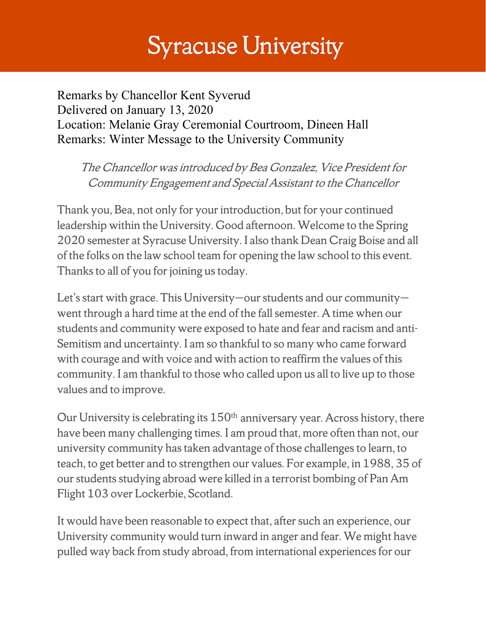# **Syracuse University**

Remarks by Chancellor Kent Syverud Delivered on January 13, 2020 Location: Melanie Gray Ceremonial Courtroom, Dineen Hall Remarks: Winter Message to the University Community

The Chancellor was introduced by Bea Gonzalez, Vice President for Community Engagement and Special Assistant to the Chancellor

Thank you, Bea, not only for your introduction, but for your continued leadership within the University. Good afternoon. Welcome to the Spring 2020 semester at Syracuse University. I also thank Dean Craig Boise and all of the folks on the law school team for opening the law school to this event. Thanks to all of you for joining us today.

Let's start with grace. This University—our students and our community went through a hard time at the end of the fall semester. A time when our students and community were exposed to hate and fear and racism and anti-Semitism and uncertainty. I am so thankful to so many who came forward with courage and with voice and with action to reaffirm the values of this community. I am thankful to those who called upon us all to live up to those values and to improve.

Our University is celebrating its  $150<sup>th</sup>$  anniversary year. Across history, there have been many challenging times. I am proud that, more often than not, our university community has taken advantage of those challenges to learn, to teach, to get better and to strengthen our values. For example, in 1988, 35 of our students studying abroad were killed in a terrorist bombing of Pan Am Flight 103 over Lockerbie, Scotland.

It would have been reasonable to expect that, after such an experience, our University community would turn inward in anger and fear. We might have pulled way back from study abroad, from international experiences for our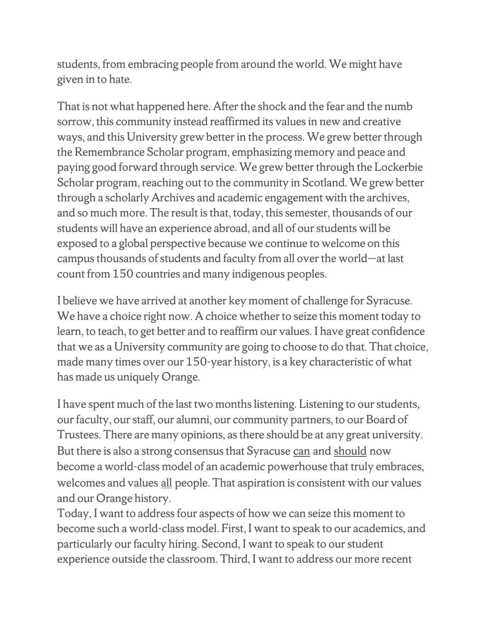students, from embracing people from around the world. We might have given in to hate.

That is not what happened here. After the shock and the fear and the numb sorrow, this community instead reaffirmed its values in new and creative ways, and this University grew better in the process. We grew better through the Remembrance Scholar program, emphasizing memory and peace and paying good forward through service. We grew better through the Lockerbie Scholar program, reaching out to the community in Scotland. We grew better through a scholarly Archives and academic engagement with the archives, and so much more. The result is that, today, this semester, thousands of our students will have an experience abroad, and all of our students will be exposed to a global perspective because we continue to welcome on this campus thousands of students and faculty from all over the world—at last count from 150 countries and many indigenous peoples.

I believe we have arrived at another key moment of challenge for Syracuse. We have a choice right now. A choice whether to seize this moment today to learn, to teach, to get better and to reaffirm our values. I have great confidence that we as a University community are going to choose to do that. That choice, made many times over our 150-year history, is a key characteristic of what has made us uniquely Orange.

I have spent much of the last two months listening. Listening to our students, our faculty, our staff, our alumni, our community partners, to our Board of Trustees. There are many opinions, as there should be at any great university. But there is also a strong consensus that Syracuse can and should now become a world-class model of an academic powerhouse that truly embraces, welcomes and values all people. That aspiration is consistent with our values and our Orange history.

Today, I want to address four aspects of how we can seize this moment to become such a world-class model. First, I want to speak to our academics, and particularly our faculty hiring. Second, I want to speak to our student experience outside the classroom. Third, I want to address our more recent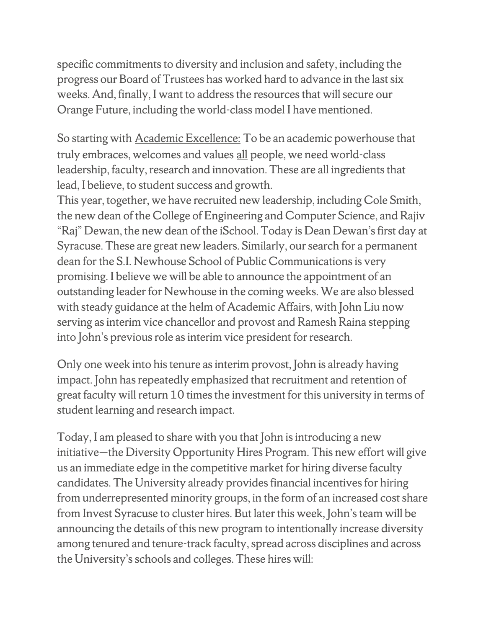specific commitments to diversity and inclusion and safety, including the progress our Board of Trustees has worked hard to advance in the last six weeks. And, finally, I want to address the resources that will secure our Orange Future, including the world-class model I have mentioned.

So starting with Academic Excellence: To be an academic powerhouse that truly embraces, welcomes and values all people, we need world-class leadership, faculty, research and innovation. These are all ingredients that lead, I believe, to student success and growth.

This year, together, we have recruited new leadership, including Cole Smith, the new dean of the College of Engineering and Computer Science, and Rajiv "Raj" Dewan, the new dean of the iSchool. Today is Dean Dewan's first day at Syracuse. These are great new leaders. Similarly, our search for a permanent dean for the S.I. Newhouse School of Public Communications is very promising. I believe we will be able to announce the appointment of an outstanding leader for Newhouse in the coming weeks. We are also blessed with steady guidance at the helm of Academic Affairs, with John Liu now serving as interim vice chancellor and provost and Ramesh Raina stepping into John's previous role as interim vice president for research.

Only one week into his tenure as interim provost, John is already having impact. John has repeatedly emphasized that recruitment and retention of great faculty will return 10 times the investment for this university in terms of student learning and research impact.

Today, I am pleased to share with you that John is introducing a new initiative—the Diversity Opportunity Hires Program. This new effort will give us an immediate edge in the competitive market for hiring diverse faculty candidates. The University already provides financial incentives for hiring from underrepresented minority groups, in the form of an increased cost share from Invest Syracuse to cluster hires. But later this week, John's team will be announcing the details of this new program to intentionally increase diversity among tenured and tenure-track faculty, spread across disciplines and across the University's schools and colleges. These hires will: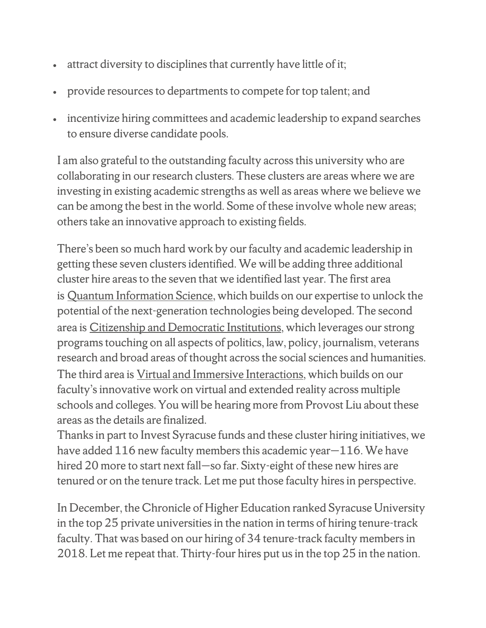- attract diversity to disciplines that currently have little of it;
- provide resources to departments to compete for top talent; and
- incentivize hiring committees and academic leadership to expand searches to ensure diverse candidate pools.

I am also grateful to the outstanding faculty across this university who are collaborating in our research clusters. These clusters are areas where we are investing in existing academic strengths as well as areas where we believe we can be among the best in the world. Some of these involve whole new areas; others take an innovative approach to existing fields.

There's been so much hard work by our faculty and academic leadership in getting these seven clusters identified. We will be adding three additional cluster hire areas to the seven that we identified last year. The first area is Quantum Information Science, which builds on our expertise to unlock the potential of the next-generation technologies being developed. The second area is Citizenship and Democratic Institutions, which leverages our strong programs touching on all aspects of politics, law, policy, journalism, veterans research and broad areas of thought across the social sciences and humanities. The third area is Virtual and Immersive Interactions, which builds on our faculty's innovative work on virtual and extended reality across multiple schools and colleges. You will be hearing more from Provost Liu about these areas as the details are finalized.

Thanks in part to Invest Syracuse funds and these cluster hiring initiatives, we have added 116 new faculty members this academic year – 116. We have hired 20 more to start next fall—so far. Sixty-eight of these new hires are tenured or on the tenure track. Let me put those faculty hires in perspective.

In December, the Chronicle of Higher Education ranked Syracuse University in the top 25 private universities in the nation in terms of hiring tenure-track faculty. That was based on our hiring of 34 tenure-track faculty members in 2018. Let me repeat that. Thirty-four hires put us in the top 25 in the nation.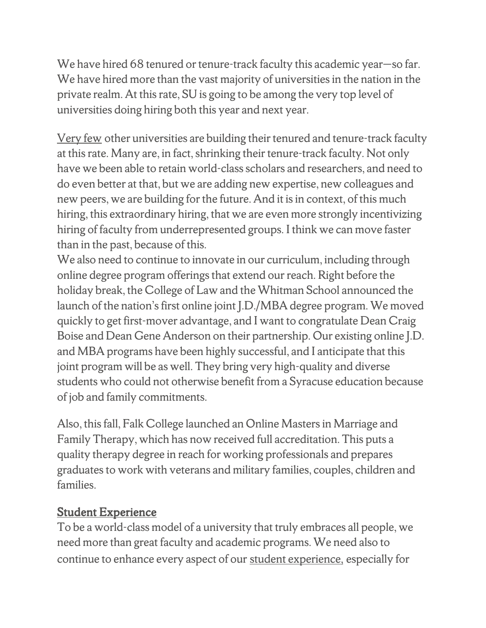We have hired 68 tenured or tenure-track faculty this academic year-so far. We have hired more than the vast majority of universities in the nation in the private realm. At this rate, SU is going to be among the very top level of universities doing hiring both this year and next year.

Very few other universities are building their tenured and tenure-track faculty at this rate. Many are, in fact, shrinking their tenure-track faculty. Not only have we been able to retain world-class scholars and researchers, and need to do even better at that, but we are adding new expertise, new colleagues and new peers, we are building for the future. And it is in context, of this much hiring, this extraordinary hiring, that we are even more strongly incentivizing hiring of faculty from underrepresented groups. I think we can move faster than in the past, because of this.

We also need to continue to innovate in our curriculum, including through online degree program offerings that extend our reach. Right before the holiday break, the College of Law and the Whitman School announced the launch of the nation's first online joint J.D./MBA degree program. We moved quickly to get first-mover advantage, and I want to congratulate Dean Craig Boise and Dean Gene Anderson on their partnership. Our existing online J.D. and MBA programs have been highly successful, and I anticipate that this joint program will be as well. They bring very high-quality and diverse students who could not otherwise benefit from a Syracuse education because of job and family commitments.

Also, this fall, Falk College launched an Online Masters in Marriage and Family Therapy, which has now received full accreditation. This puts a quality therapy degree in reach for working professionals and prepares graduates to work with veterans and military families, couples, children and families.

### Student Experience

To be a world-class model of a university that truly embraces all people, we need more than great faculty and academic programs. We need also to continue to enhance every aspect of our student experience, especially for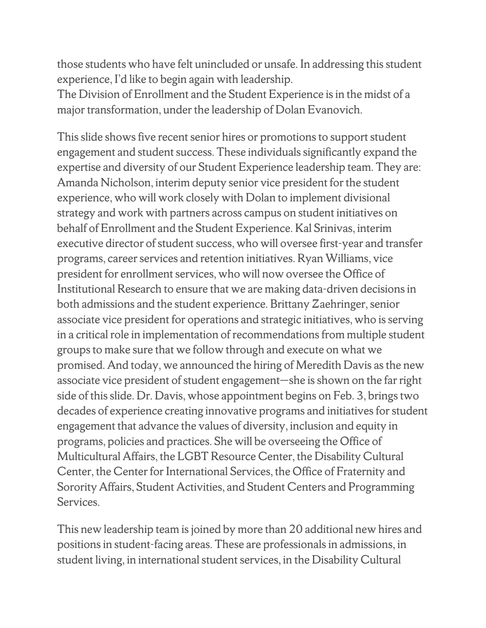those students who have felt unincluded or unsafe. In addressing this student experience, I'd like to begin again with leadership.

The Division of Enrollment and the Student Experience is in the midst of a major transformation, under the leadership of Dolan Evanovich.

This slide shows five recent senior hires or promotions to support student engagement and student success. These individuals significantly expand the expertise and diversity of our Student Experience leadership team. They are: Amanda Nicholson, interim deputy senior vice president for the student experience, who will work closely with Dolan to implement divisional strategy and work with partners across campus on student initiatives on behalf of Enrollment and the Student Experience. Kal Srinivas, interim executive director of student success, who will oversee first-year and transfer programs, career services and retention initiatives. Ryan Williams, vice president for enrollment services, who will now oversee the Office of Institutional Research to ensure that we are making data-driven decisions in both admissions and the student experience. Brittany Zaehringer, senior associate vice president for operations and strategic initiatives, who is serving in a critical role in implementation of recommendations from multiple student groups to make sure that we follow through and execute on what we promised. And today, we announced the hiring of Meredith Davis as the new associate vice president of student engagement—she is shown on the far right side of this slide. Dr. Davis, whose appointment begins on Feb. 3, brings two decades of experience creating innovative programs and initiatives for student engagement that advance the values of diversity, inclusion and equity in programs, policies and practices. She will be overseeing the Office of Multicultural Affairs, the LGBT Resource Center, the Disability Cultural Center, the Center for International Services, the Office of Fraternity and Sorority Affairs, Student Activities, and Student Centers and Programming Services.

This new leadership team is joined by more than 20 additional new hires and positions in student-facing areas. These are professionals in admissions, in student living, in international student services, in the Disability Cultural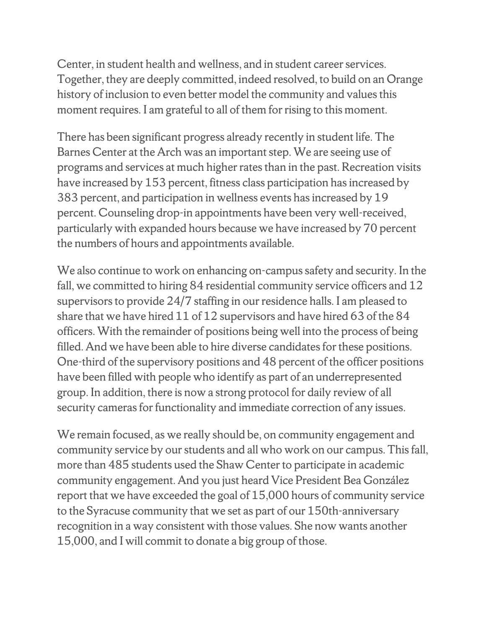Center, in student health and wellness, and in student career services. Together, they are deeply committed, indeed resolved, to build on an Orange history of inclusion to even better model the community and values this moment requires. I am grateful to all of them for rising to this moment.

There has been significant progress already recently in student life. The Barnes Center at the Arch was an important step. We are seeing use of programs and services at much higher rates than in the past. Recreation visits have increased by 153 percent, fitness class participation has increased by 383 percent, and participation in wellness events has increased by 19 percent. Counseling drop-in appointments have been very well-received, particularly with expanded hours because we have increased by 70 percent the numbers of hours and appointments available.

We also continue to work on enhancing on-campus safety and security. In the fall, we committed to hiring 84 residential community service officers and 12 supervisors to provide 24/7 staffing in our residence halls. I am pleased to share that we have hired 11 of 12 supervisors and have hired 63 of the 84 officers. With the remainder of positions being well into the process of being filled. And we have been able to hire diverse candidates for these positions. One-third of the supervisory positions and 48 percent of the officer positions have been filled with people who identify as part of an underrepresented group. In addition, there is now a strong protocol for daily review of all security cameras for functionality and immediate correction of any issues.

We remain focused, as we really should be, on community engagement and community service by our students and all who work on our campus. This fall, more than 485 students used the Shaw Center to participate in academic community engagement. And you just heard Vice President Bea González report that we have exceeded the goal of 15,000 hours of community service to the Syracuse community that we set as part of our 150th-anniversary recognition in a way consistent with those values. She now wants another 15,000, and I will commit to donate a big group of those.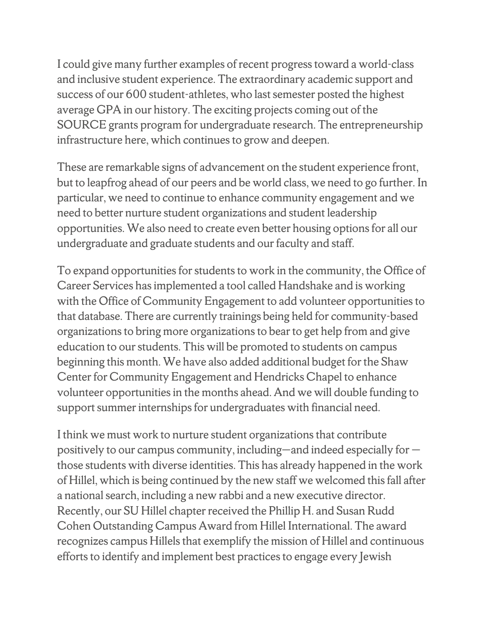I could give many further examples of recent progress toward a world-class and inclusive student experience. The extraordinary academic support and success of our 600 student-athletes, who last semester posted the highest average GPA in our history. The exciting projects coming out of the SOURCE grants program for undergraduate research. The entrepreneurship infrastructure here, which continues to grow and deepen.

These are remarkable signs of advancement on the student experience front, but to leapfrog ahead of our peers and be world class, we need to go further. In particular, we need to continue to enhance community engagement and we need to better nurture student organizations and student leadership opportunities. We also need to create even better housing options for all our undergraduate and graduate students and our faculty and staff.

To expand opportunities for students to work in the community, the Office of Career Services has implemented a tool called Handshake and is working with the Office of Community Engagement to add volunteer opportunities to that database. There are currently trainings being held for community-based organizations to bring more organizations to bear to get help from and give education to our students. This will be promoted to students on campus beginning this month. We have also added additional budget for the Shaw Center for Community Engagement and Hendricks Chapel to enhance volunteer opportunities in the months ahead. And we will double funding to support summer internships for undergraduates with financial need.

I think we must work to nurture student organizations that contribute positively to our campus community, including—and indeed especially for those students with diverse identities. This has already happened in the work of Hillel, which is being continued by the new staff we welcomed this fall after a national search, including a new rabbi and a new executive director. Recently, our SU Hillel chapter received the Phillip H. and Susan Rudd Cohen Outstanding Campus Award from Hillel International. The award recognizes campus Hillels that exemplify the mission of Hillel and continuous efforts to identify and implement best practices to engage every Jewish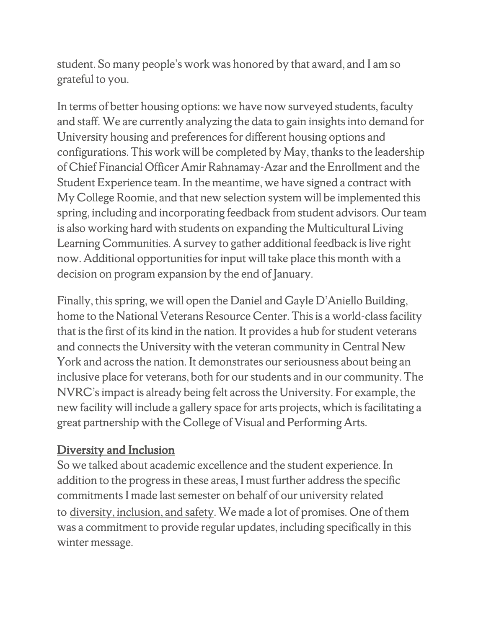student. So many people's work was honored by that award, and I am so grateful to you.

In terms of better housing options: we have now surveyed students, faculty and staff. We are currently analyzing the data to gain insights into demand for University housing and preferences for different housing options and configurations. This work will be completed by May, thanks to the leadership of Chief Financial Officer Amir Rahnamay-Azar and the Enrollment and the Student Experience team. In the meantime, we have signed a contract with My College Roomie, and that new selection system will be implemented this spring, including and incorporating feedback from student advisors. Our team is also working hard with students on expanding the Multicultural Living Learning Communities. A survey to gather additional feedback is live right now. Additional opportunities for input will take place this month with a decision on program expansion by the end of January.

Finally, this spring, we will open the Daniel and Gayle D'Aniello Building, home to the National Veterans Resource Center. This is a world-class facility that is the first of its kind in the nation. It provides a hub for student veterans and connects the University with the veteran community in Central New York and across the nation. It demonstrates our seriousness about being an inclusive place for veterans, both for our students and in our community. The NVRC's impact is already being felt across the University. For example, the new facility will include a gallery space for arts projects, which is facilitating a great partnership with the College of Visual and Performing Arts.

### Diversity and Inclusion

So we talked about academic excellence and the student experience. In addition to the progress in these areas, I must further address the specific commitments I made last semester on behalf of our university related to diversity, inclusion, and safety. We made a lot of promises. One of them was a commitment to provide regular updates, including specifically in this winter message.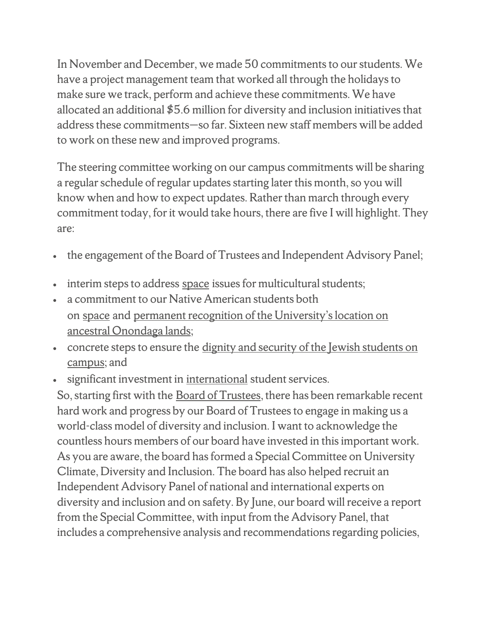In November and December, we made 50 commitments to our students. We have a project management team that worked all through the holidays to make sure we track, perform and achieve these commitments. We have allocated an additional \$5.6 million for diversity and inclusion initiatives that address these commitments—so far. Sixteen new staff members will be added to work on these new and improved programs.

The steering committee working on our campus commitments will be sharing a regular schedule of regular updates starting later this month, so you will know when and how to expect updates. Rather than march through every commitment today, for it would take hours, there are five I will highlight. They are:

- the engagement of the Board of Trustees and Independent Advisory Panel;
- interim steps to address space issues for multicultural students;
- a commitment to our Native American students both on space and permanent recognition of the University's location on ancestral Onondaga lands;
- concrete steps to ensure the dignity and security of the Jewish students on campus; and
- significant investment in international student services.

So, starting first with the Board of Trustees, there has been remarkable recent hard work and progress by our Board of Trustees to engage in making us a world-class model of diversity and inclusion. I want to acknowledge the countless hours members of our board have invested in this important work. As you are aware, the board has formed a Special Committee on University Climate, Diversity and Inclusion. The board has also helped recruit an Independent Advisory Panel of national and international experts on diversity and inclusion and on safety. By June, our board will receive a report from the Special Committee, with input from the Advisory Panel, that includes a comprehensive analysis and recommendations regarding policies,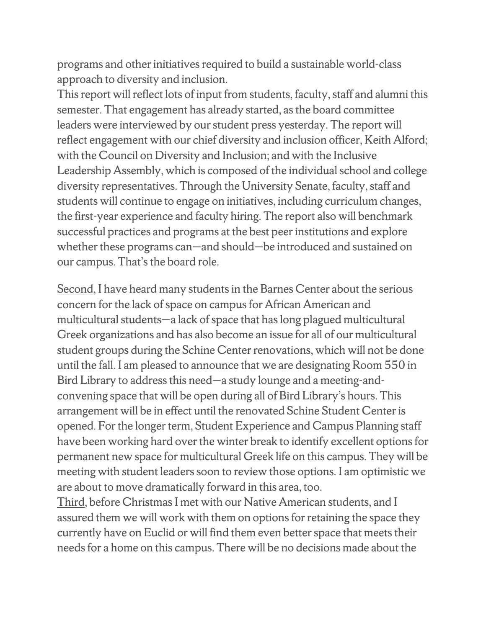programs and other initiatives required to build a sustainable world-class approach to diversity and inclusion.

This report will reflect lots of input from students, faculty, staff and alumni this semester. That engagement has already started, as the board committee leaders were interviewed by our student press yesterday. The report will reflect engagement with our chief diversity and inclusion officer, Keith Alford; with the Council on Diversity and Inclusion; and with the Inclusive Leadership Assembly, which is composed of the individual school and college diversity representatives. Through the University Senate, faculty, staff and students will continue to engage on initiatives, including curriculum changes, the first-year experience and faculty hiring. The report also will benchmark successful practices and programs at the best peer institutions and explore whether these programs can—and should—be introduced and sustained on our campus. That's the board role.

Second, I have heard many students in the Barnes Center about the serious concern for the lack of space on campus for African American and multicultural students—a lack of space that has long plagued multicultural Greek organizations and has also become an issue for all of our multicultural student groups during the Schine Center renovations, which will not be done until the fall. I am pleased to announce that we are designating Room 550 in Bird Library to address this need—a study lounge and a meeting-andconvening space that will be open during all of Bird Library's hours. This arrangement will be in effect until the renovated Schine Student Center is opened. For the longer term, Student Experience and Campus Planning staff have been working hard over the winter break to identify excellent options for permanent new space for multicultural Greek life on this campus. They will be meeting with student leaders soon to review those options. I am optimistic we are about to move dramatically forward in this area, too.

Third, before Christmas I met with our Native American students, and I assured them we will work with them on options for retaining the space they currently have on Euclid or will find them even better space that meets their needs for a home on this campus. There will be no decisions made about the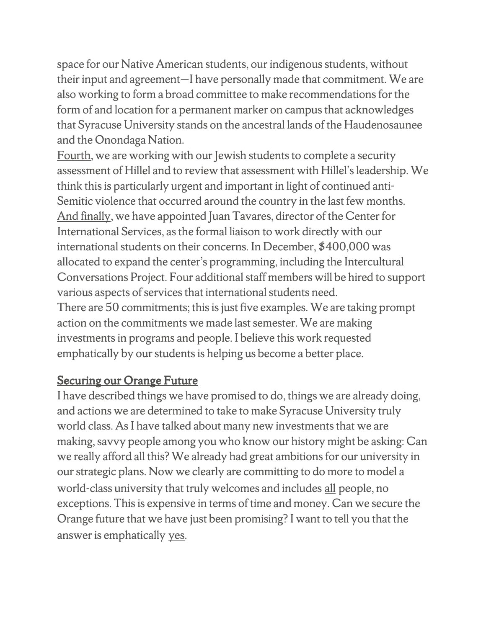space for our Native American students, our indigenous students, without their input and agreement—I have personally made that commitment. We are also working to form a broad committee to make recommendations for the form of and location for a permanent marker on campus that acknowledges that Syracuse University stands on the ancestral lands of the Haudenosaunee and the Onondaga Nation.

Fourth, we are working with our Jewish students to complete a security assessment of Hillel and to review that assessment with Hillel's leadership. We think this is particularly urgent and important in light of continued anti-Semitic violence that occurred around the country in the last few months. And finally, we have appointed Juan Tavares, director of the Center for International Services, as the formal liaison to work directly with our international students on their concerns. In December, \$400,000 was allocated to expand the center's programming, including the Intercultural Conversations Project. Four additional staff members will be hired to support various aspects of services that international students need. There are 50 commitments; this is just five examples. We are taking prompt action on the commitments we made last semester. We are making investments in programs and people. I believe this work requested

emphatically by our students is helping us become a better place.

### Securing our Orange Future

I have described things we have promised to do, things we are already doing, and actions we are determined to take to make Syracuse University truly world class. As I have talked about many new investments that we are making, savvy people among you who know our history might be asking: Can we really afford all this? We already had great ambitions for our university in our strategic plans. Now we clearly are committing to do more to model a world-class university that truly welcomes and includes all people, no exceptions. This is expensive in terms of time and money. Can we secure the Orange future that we have just been promising? I want to tell you that the answer is emphatically yes.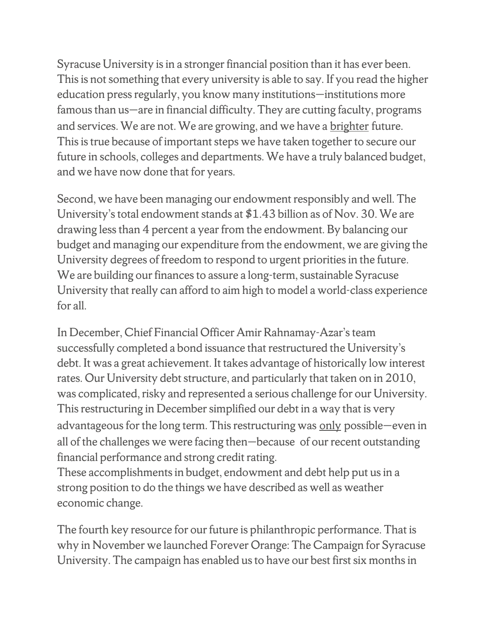Syracuse University is in a stronger financial position than it has ever been. This is not something that every university is able to say. If you read the higher education press regularly, you know many institutions—institutions more famous than us—are in financial difficulty. They are cutting faculty, programs and services. We are not. We are growing, and we have a brighter future. This is true because of important steps we have taken together to secure our future in schools, colleges and departments. We have a truly balanced budget, and we have now done that for years.

Second, we have been managing our endowment responsibly and well. The University's total endowment stands at \$1.43 billion as of Nov. 30. We are drawing less than 4 percent a year from the endowment. By balancing our budget and managing our expenditure from the endowment, we are giving the University degrees of freedom to respond to urgent priorities in the future. We are building our finances to assure a long-term, sustainable Syracuse University that really can afford to aim high to model a world-class experience for all.

In December, Chief Financial Officer Amir Rahnamay-Azar's team successfully completed a bond issuance that restructured the University's debt. It was a great achievement. It takes advantage of historically low interest rates. Our University debt structure, and particularly that taken on in 2010, was complicated, risky and represented a serious challenge for our University. This restructuring in December simplified our debt in a way that is very advantageous for the long term. This restructuring was only possible—even in all of the challenges we were facing then—because of our recent outstanding financial performance and strong credit rating.

These accomplishments in budget, endowment and debt help put us in a strong position to do the things we have described as well as weather economic change.

The fourth key resource for our future is philanthropic performance. That is why in November we launched Forever Orange: The Campaign for Syracuse University. The campaign has enabled us to have our best first six months in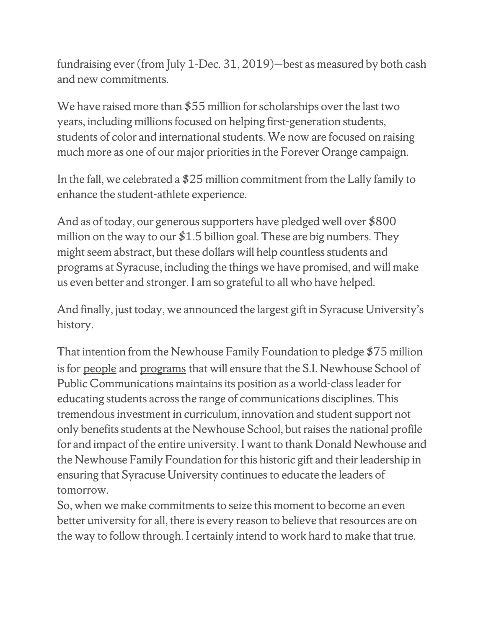fundraising ever (from July 1-Dec. 31, 2019)—best as measured by both cash and new commitments.

We have raised more than \$55 million for scholarships over the last two years, including millions focused on helping first-generation students, students of color and international students. We now are focused on raising much more as one of our major priorities in the Forever Orange campaign.

In the fall, we celebrated a \$25 million commitment from the Lally family to enhance the student-athlete experience.

And as of today, our generous supporters have pledged well over \$800 million on the way to our  $$1.5$  billion goal. These are big numbers. They might seem abstract, but these dollars will help countless students and programs at Syracuse, including the things we have promised, and will make us even better and stronger. I am so grateful to all who have helped.

And finally, just today, we announced the largest gift in Syracuse University's history.

That intention from the Newhouse Family Foundation to pledge \$75 million is for people and programs that will ensure that the S.I. Newhouse School of Public Communications maintains its position as a world-class leader for educating students across the range of communications disciplines. This tremendous investment in curriculum, innovation and student support not only benefits students at the Newhouse School, but raises the national profile for and impact of the entire university. I want to thank Donald Newhouse and the Newhouse Family Foundation for this historic gift and their leadership in ensuring that Syracuse University continues to educate the leaders of tomorrow.

So, when we make commitments to seize this moment to become an even better university for all, there is every reason to believe that resources are on the way to follow through. I certainly intend to work hard to make that true.